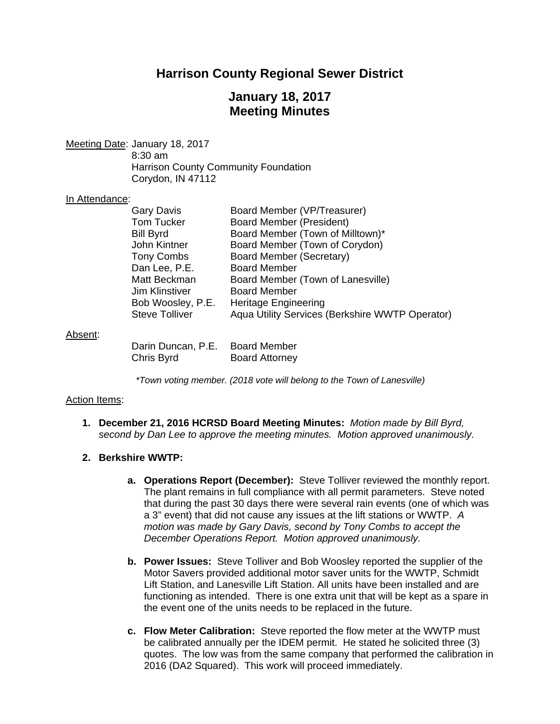# **Harrison County Regional Sewer District**

# **January 18, 2017 Meeting Minutes**

Meeting Date: January 18, 2017 8:30 am Harrison County Community Foundation Corydon, IN 47112

#### In Attendance:

| <b>Gary Davis</b>               | Board Member (VP/Treasurer)                     |
|---------------------------------|-------------------------------------------------|
| <b>Tom Tucker</b>               | <b>Board Member (President)</b>                 |
| <b>Bill Byrd</b>                | Board Member (Town of Milltown)*                |
| John Kintner                    | Board Member (Town of Corydon)                  |
| <b>Tony Combs</b>               | <b>Board Member (Secretary)</b>                 |
| Dan Lee, P.E.                   | <b>Board Member</b>                             |
| Matt Beckman                    | Board Member (Town of Lanesville)               |
| <b>Jim Klinstiver</b>           | <b>Board Member</b>                             |
| Bob Woosley, P.E.               | <b>Heritage Engineering</b>                     |
| <b>Steve Tolliver</b>           | Aqua Utility Services (Berkshire WWTP Operator) |
|                                 |                                                 |
|                                 |                                                 |
| Darin Duncan, P.E. Board Member |                                                 |

#### Absent:

|  | $\sim$ $\sim$ |
|--|---------------|
|  |               |
|  |               |
|  |               |
|  |               |
|  |               |
|  |               |

Chris Byrd Board Attorney

### *\*Town voting member. (2018 vote will belong to the Town of Lanesville)*

### Action Items:

**1. December 21, 2016 HCRSD Board Meeting Minutes:** *Motion made by Bill Byrd, second by Dan Lee to approve the meeting minutes. Motion approved unanimously.*

### **2. Berkshire WWTP:**

- **a. Operations Report (December):** Steve Tolliver reviewed the monthly report. The plant remains in full compliance with all permit parameters. Steve noted that during the past 30 days there were several rain events (one of which was a 3" event) that did not cause any issues at the lift stations or WWTP. *A motion was made by Gary Davis, second by Tony Combs to accept the December Operations Report. Motion approved unanimously.*
- **b. Power Issues:** Steve Tolliver and Bob Woosley reported the supplier of the Motor Savers provided additional motor saver units for the WWTP, Schmidt Lift Station, and Lanesville Lift Station. All units have been installed and are functioning as intended. There is one extra unit that will be kept as a spare in the event one of the units needs to be replaced in the future.
- **c. Flow Meter Calibration:** Steve reported the flow meter at the WWTP must be calibrated annually per the IDEM permit. He stated he solicited three (3) quotes. The low was from the same company that performed the calibration in 2016 (DA2 Squared). This work will proceed immediately.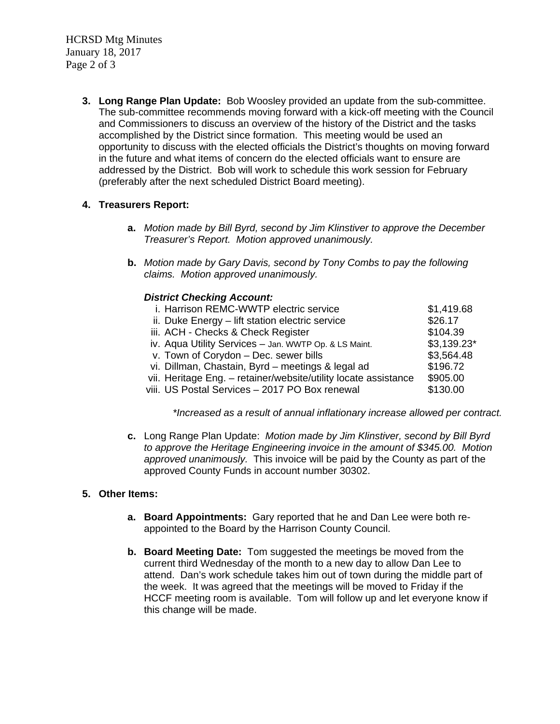HCRSD Mtg Minutes January 18, 2017 Page 2 of 3

> **3. Long Range Plan Update:** Bob Woosley provided an update from the sub-committee. The sub-committee recommends moving forward with a kick-off meeting with the Council and Commissioners to discuss an overview of the history of the District and the tasks accomplished by the District since formation. This meeting would be used an opportunity to discuss with the elected officials the District's thoughts on moving forward in the future and what items of concern do the elected officials want to ensure are addressed by the District. Bob will work to schedule this work session for February (preferably after the next scheduled District Board meeting).

## **4. Treasurers Report:**

- **a.** *Motion made by Bill Byrd, second by Jim Klinstiver to approve the December Treasurer's Report. Motion approved unanimously.*
- **b.** *Motion made by Gary Davis, second by Tony Combs to pay the following claims. Motion approved unanimously.*

## *District Checking Account:*

| i. Harrison REMC-WWTP electric service                          | \$1,419.68   |
|-----------------------------------------------------------------|--------------|
| ii. Duke Energy - lift station electric service                 | \$26.17      |
| iii. ACH - Checks & Check Register                              | \$104.39     |
| iv. Aqua Utility Services - Jan. WWTP Op. & LS Maint.           | $$3,139.23*$ |
| v. Town of Corydon - Dec. sewer bills                           | \$3,564.48   |
| vi. Dillman, Chastain, Byrd - meetings & legal ad               | \$196.72     |
| vii. Heritage Eng. - retainer/website/utility locate assistance | \$905.00     |
| viii. US Postal Services - 2017 PO Box renewal                  | \$130.00     |
|                                                                 |              |

*\*Increased as a result of annual inflationary increase allowed per contract.* 

**c.** Long Range Plan Update: *Motion made by Jim Klinstiver, second by Bill Byrd to approve the Heritage Engineering invoice in the amount of \$345.00. Motion approved unanimously.* This invoice will be paid by the County as part of the approved County Funds in account number 30302.

## **5. Other Items:**

- **a. Board Appointments:** Gary reported that he and Dan Lee were both reappointed to the Board by the Harrison County Council.
- **b. Board Meeting Date:** Tom suggested the meetings be moved from the current third Wednesday of the month to a new day to allow Dan Lee to attend. Dan's work schedule takes him out of town during the middle part of the week. It was agreed that the meetings will be moved to Friday if the HCCF meeting room is available. Tom will follow up and let everyone know if this change will be made.